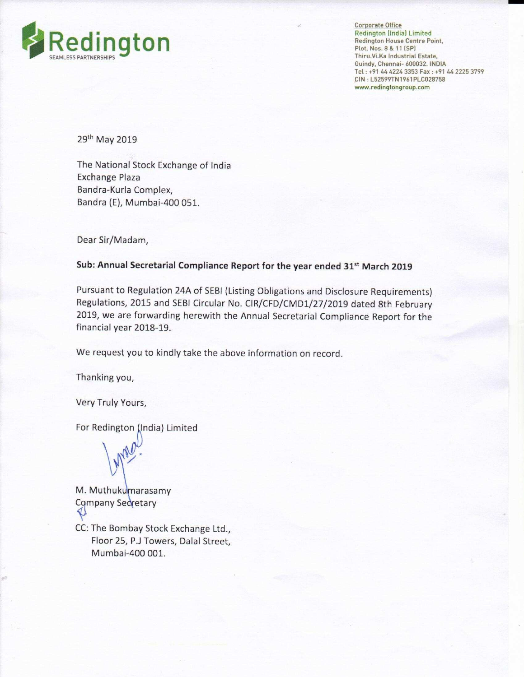

Corporate Office Redington llndial Limited Redington House Centre Point,<br>Plot. Nos. 8 & 11 (SP) Thiru.Vi.Ka Industrial Estate, Guindy, Chennai- 600032 INDIA Tel: +91 44 4224 3353 Fax: +91 44 2225 3799 CIN : L52599TN1961PLC028758 www.redingtongroup.com

29th May 2019

The National Stock Exchange of India Exchange Plaza Bandra-Kurla Complex, Bandra (E), Mumbai-400 051.

Dear Sir/Madam,

## Sub: Annual Secretarial Compliance Report for the year ended 31" March 2019

Pursuant to Regulation 24A of SEBI (Listing Obligations and Disclosure Requirements) Regulations, 2015 and SEBl Circular No. CIR/CFD/CMD1/27/2019 dated 8th February 2019, we are forwarding herewith the Annual Secretarial Compliance Report for the financial year 2018-19.

We request you to kindly take the above information on record.

Thanking you,

Very Truly Yours,

For Redington (India) Limited

Lynal

M. Muthukumarasamy Company Secretary

CC: The Bombay Stock Exchange Ltd., Floor 25, P.J Towers, Dalal Street, Mumbai-400 001.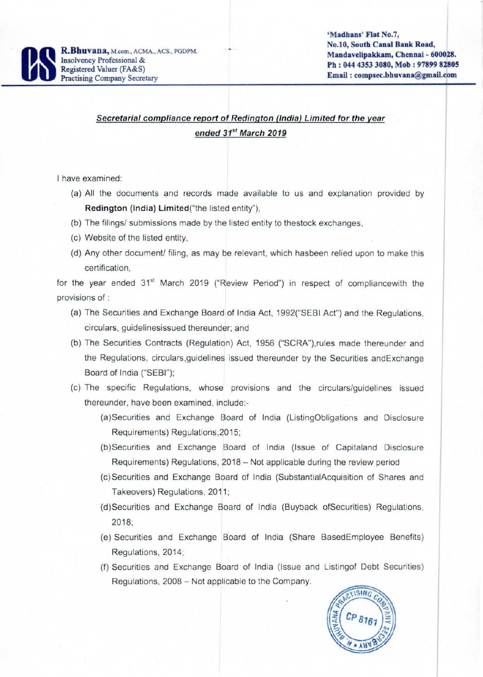

## Secretarial compliance report of Redington (India) Limited for the year ended 31" March 2019

'

<sup>l</sup> have examined:

(a) All the documents and records made available to us and explanation provided by Redington (India) Limited("the listed entity"),

- (b) The filings/ submissions made by the listed entity to thestock exchanges.
- (c) Website of the listed entity.
- (d) Any other document/ filing, as may be relevant, which hasbeen relied upon to make this certification.

for the year ended 31<sup>st</sup> March 2019 ("Review Period") in respect of compliancewith the provisions of :

- (a) The Securities and Exchange Board of India Act, 1992("SEBI Act") and the Regulations, circulars, guidelinesissued thereunder; and
- (b) The Securities Contracts (Regulation) Act, 1956 ("SCRA").rules made thereunder and the Regulations, circulars, guidelines issued thereunder by the Securities and Exchange Board of India ("SEBI");
- (c) The specific Regulations. whose provisions and the circulars/guidelines issued thereunder. have been examined, include;
	- (a)Securities and Exchange Board of India (ListingObligations and Disclosure Requirements) Regulations.2015;
	- (b)Securities and Exchange Board of India (Issue of Capitaland Disclosure Requirements) Regulations, 2018 — Not applicable during the review period
	- (c)Securities and Exchange Board of India (SubstantialAcquisition of Shares and Takeovers) Regulations, 2011;
	- (d)Securities and Exchange Board of India (Buyback ofSecurities) Regulations, 2018:
	- (e) Securities and Exchange Board of India (Share BasedEmployee Benefits) Regulations. 2014:
	- (f) Securities and Exchange Board of India (Issue and Listingof Debt Securities) Regulations. 2008 — Not applicable to the Company.

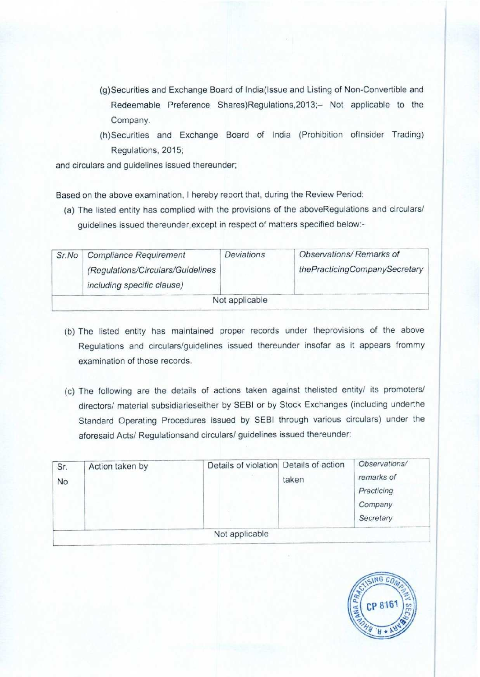- (g)Securities and Exchange Board of lndia(lssue and Listing of Non-Convertible and Redeemable Preference Shares)Regulations,2013;— Not applicable to the Company.
- (h)Securities and Exchange Board of india (Prohibition oflnsider Trading) Regulations, 2015;

and circulars and guidelines issued thereunder;

Based on the above examination, <sup>I</sup> hereby report that, during the Review Period:

(3) The listed entity has complied with the provisions of the aboveRegulations and circulars/ guidelines issued thereunder, except in respect of matters specified below:-

| Sr.No | <b>Compliance Requirement</b><br>(Regulations/Circulars/Guidelines<br>including specific clause) | Deviations     | Observations/Remarks of<br>thePracticingCompanySecretary |
|-------|--------------------------------------------------------------------------------------------------|----------------|----------------------------------------------------------|
|       |                                                                                                  | Not applicable |                                                          |

- (b) The listed entity has maintained proper records under iheprovisions of the above Regulations and circulars/guidelines issued thereunder insofar as it appears frommy examination of those records.
- (c) The following are the details of actions taken against thelisted entity/ its promoters/ directors/ material subsidiarieseither by SEBI or by Stock Exchanges (including underthe Standard Operating Procedures issued by SEBI through various circulars) under the aforesaid Acts/ Regulationsand circulars/ guidelines issued thereunder:

| Sr.<br>No | Action taken by | Details of violation Details of action | taken | Observations/<br>remarks of<br>Practicing<br>Company<br>Secretary |
|-----------|-----------------|----------------------------------------|-------|-------------------------------------------------------------------|
|           |                 | Not applicable                         |       |                                                                   |